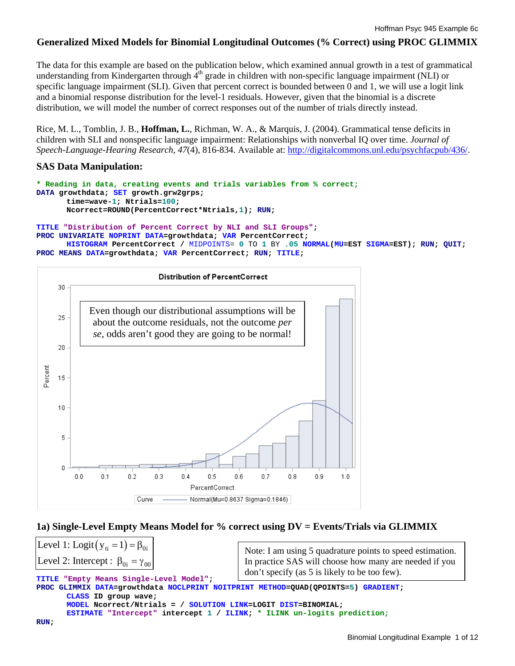# **Generalized Mixed Models for Binomial Longitudinal Outcomes (% Correct) using PROC GLIMMIX**

The data for this example are based on the publication below, which examined annual growth in a test of grammatical understanding from Kindergarten through  $\hat{4}^{th}$  grade in children with non-specific language impairment (NLI) or specific language impairment (SLI). Given that percent correct is bounded between 0 and 1, we will use a logit link and a binomial response distribution for the level-1 residuals. However, given that the binomial is a discrete distribution, we will model the number of correct responses out of the number of trials directly instead.

Rice, M. L., Tomblin, J. B., **Hoffman, L.**, Richman, W. A., & Marquis, J. (2004). Grammatical tense deficits in children with SLI and nonspecific language impairment: Relationships with nonverbal IQ over time. *Journal of Speech-Language-Hearing Research, 47*(4), 816-834. Available at: http://digitalcommons.unl.edu/psychfacpub/436/.

# **SAS Data Manipulation:**

```
* Reading in data, creating events and trials variables from % correct; 
DATA growthdata; SET growth.grw2grps; 
        time=wave-1; Ntrials=100; 
       Ncorrect=ROUND(PercentCorrect*Ntrials,1); RUN;
```

```
TITLE "Distribution of Percent Correct by NLI and SLI Groups"; 
PROC UNIVARIATE NOPRINT DATA=growthdata; VAR PercentCorrect; 
      HISTOGRAM PercentCorrect / MIDPOINTS= 0 TO 1 BY .05 NORMAL(MU=EST SIGMA=EST); RUN; QUIT; 
PROC MEANS DATA=growthdata; VAR PercentCorrect; RUN; TITLE;
```


# **1a) Single-Level Empty Means Model for % correct using DV = Events/Trials via GLIMMIX**

**TITLE "Empty Means Single-Level Model";**  Level 1: Logit  $(y_{ti} = 1) = \beta_{0i}$ Level 2: Intercept :  $\beta_{0i} = \gamma_{00}$ 

Note: I am using 5 quadrature points to speed estimation. In practice SAS will choose how many are needed if you don't specify (as 5 is likely to be too few).

```
PROC GLIMMIX DATA=growthdata NOCLPRINT NOITPRINT METHOD=QUAD(QPOINTS=5) GRADIENT; 
       CLASS ID group wave; 
      MODEL Ncorrect/Ntrials = / SOLUTION LINK=LOGIT DIST=BINOMIAL; 
       ESTIMATE "Intercept" intercept 1 / ILINK; * ILINK un-logits prediction;
RUN;
```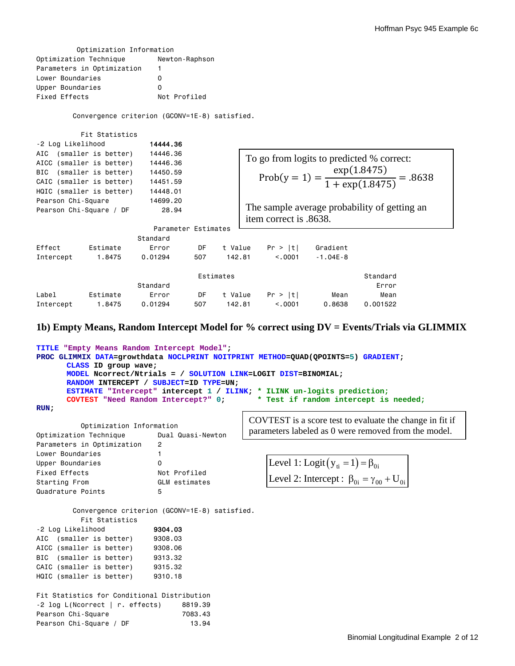Optimization Information

| Optimization Technique     | Newton-Raphson |
|----------------------------|----------------|
| Parameters in Optimization |                |
| Lower Boundaries           | $\Omega$       |
| Upper Boundaries           | O              |
| Fixed Effects              | Not Profiled   |

Convergence criterion (GCONV=1E-8) satisfied.

|                    | Fit Statistics           |                     |     |           |                        |            |                                                               |  |
|--------------------|--------------------------|---------------------|-----|-----------|------------------------|------------|---------------------------------------------------------------|--|
| -2 Log Likelihood  |                          | 14444.36            |     |           |                        |            |                                                               |  |
|                    | AIC (smaller is better)  | 14446.36            |     |           |                        |            |                                                               |  |
|                    | AICC (smaller is better) | 14446.36            |     |           |                        |            | To go from logits to predicted % correct:                     |  |
|                    | BIC (smaller is better)  | 14450.59            |     |           |                        |            |                                                               |  |
|                    | CAIC (smaller is better) | 14451.59            |     |           |                        |            | Prob(y = 1) = $\frac{\exp(1.8475)}{1 + \exp(1.8475)}$ = .8638 |  |
|                    | HQIC (smaller is better) | 14448.01            |     |           |                        |            |                                                               |  |
| Pearson Chi-Square |                          | 14699.20            |     |           |                        |            |                                                               |  |
|                    | Pearson Chi-Square / DF  | 28.94               |     |           |                        |            | The sample average probability of getting an                  |  |
|                    |                          |                     |     |           | item correct is .8638. |            |                                                               |  |
|                    |                          | Parameter Estimates |     |           |                        |            |                                                               |  |
|                    |                          | Standard            |     |           |                        |            |                                                               |  |
| Effect             | Estimate                 | Error               | DF  | t Value   | Pr >  t                | Gradient   |                                                               |  |
| Intercept          | 1.8475                   | 0.01294             | 507 | 142.81    | < 0.0001               | $-1.04E-8$ |                                                               |  |
|                    |                          |                     |     | Estimates |                        |            | Standard                                                      |  |
|                    |                          | Standard            |     |           |                        |            | Error                                                         |  |
| Label              | Estimate                 | Error               | DF  | t Value   | Pr >  t                | Mean       | Mean                                                          |  |
| Intercept          | 1.8475                   | 0.01294             | 507 | 142.81    | < 0.001                | 0.8638     | 0.001522                                                      |  |

# **1b) Empty Means, Random Intercept Model for % correct using DV = Events/Trials via GLIMMIX**

```
TITLE "Empty Means Random Intercept Model"; 
PROC GLIMMIX DATA=growthdata NOCLPRINT NOITPRINT METHOD=QUAD(QPOINTS=5) GRADIENT; 
      CLASS ID group wave; 
      MODEL Ncorrect/Ntrials = / SOLUTION LINK=LOGIT DIST=BINOMIAL; 
      RANDOM INTERCEPT / SUBJECT=ID TYPE=UN; 
      ESTIMATE "Intercept" intercept 1 / ILINK; * ILINK un-logits prediction;
      COVTEST "Need Random Intercept?" 0; * Test if random intercept is needed;
RUN; 
          Optimization Information 
Optimization Technique Dual Quasi-Newton
Parameters in Optimization 2 
Lower Boundaries 1
Upper Boundaries 0
Fixed Effects Not Profiled
Starting From GLM estimates
Quadrature Points 5
         Convergence criterion (GCONV=1E-8) satisfied. 
          Fit Statistics 
-2 Log Likelihood 9304.03
AIC (smaller is better) 9308.03
AICC (smaller is better) 9308.06
BIC (smaller is better) 9313.32 
CAIC (smaller is better) 9315.32
HQIC (smaller is better) 9310.18
Fit Statistics for Conditional Distribution 
-2 log L(Ncorrect | r. effects) 8819.39 
Pearson Chi-Square 7083.43
Pearson Chi-Square / DF 13.94
                                                   Level 1: Logit (y_{ti} = 1) = \beta_{0i}Level 2: Intercept : \beta_{0i} = \gamma_{00} + U_{0i}COVTEST is a score test to evaluate the change in fit if 
                                               parameters labeled as 0 were removed from the model.
```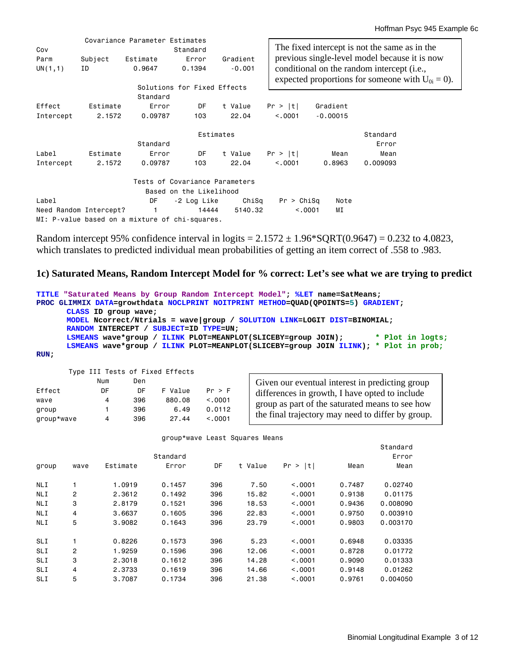|                        |          | Covariance Parameter Estimates                 |                                |          |            |            |                                                       |
|------------------------|----------|------------------------------------------------|--------------------------------|----------|------------|------------|-------------------------------------------------------|
| Cov                    |          |                                                | Standard                       |          |            |            | The fixed intercept is not the same as in the         |
| Parm                   |          |                                                | Error                          | Gradient |            |            | previous single-level model because it is now         |
|                        | Subject  | Estimate                                       |                                |          |            |            |                                                       |
| UN(1,1)                | ID       | 0.9647                                         | 0.1394                         | $-0.001$ |            |            | conditional on the random intercept (i.e.,            |
|                        |          |                                                |                                |          |            |            | expected proportions for someone with $U_{0i} = 0$ ). |
|                        |          |                                                | Solutions for Fixed Effects    |          |            |            |                                                       |
|                        |          | Standard                                       |                                |          |            |            |                                                       |
| Effect                 | Estimate | Error                                          | DF                             | t Value  | Pr >  t    | Gradient   |                                                       |
| Intercept              | 2.1572   | 0.09787                                        | 103                            | 22.04    | < 0.0001   | $-0.00015$ |                                                       |
|                        |          |                                                | Estimates                      |          |            |            | Standard                                              |
|                        |          | Standard                                       |                                |          |            |            | Error                                                 |
| Label                  | Estimate | Error                                          | DF                             | t Value  | Pr >  t    | Mean       | Mean                                                  |
| Intercept              | 2.1572   | 0.09787                                        | 103                            | 22.04    | < 0.001    | 0.8963     | 0.009093                                              |
|                        |          |                                                | Tests of Covariance Parameters |          |            |            |                                                       |
|                        |          |                                                | Based on the Likelihood        |          |            |            |                                                       |
| Label                  |          | DF                                             | -2 Log Like                    | ChiSq    | Pr > Chisq | Note       |                                                       |
| Need Random Intercept? |          |                                                | 14444                          | 5140.32  | < .0001    | ΜI         |                                                       |
|                        |          | MI: P-value based on a mixture of chi-squares. |                                |          |            |            |                                                       |

Random intercept 95% confidence interval in logits =  $2.1572 \pm 1.96***SQRT**(0.9647) = 0.232$  to 4.0823, which translates to predicted individual mean probabilities of getting an item correct of .558 to .983.

## **1c) Saturated Means, Random Intercept Model for % correct: Let's see what we are trying to predict**

```
TITLE "Saturated Means by Group Random Intercept Model"; %LET name=SatMeans; 
PROC GLIMMIX DATA=growthdata NOCLPRINT NOITPRINT METHOD=QUAD(QPOINTS=5) GRADIENT; 
      CLASS ID group wave; 
      MODEL Ncorrect/Ntrials = wave|group / SOLUTION LINK=LOGIT DIST=BINOMIAL; 
      RANDOM INTERCEPT / SUBJECT=ID TYPE=UN; 
      LSMEANS wave*group / ILINK PLOT=MEANPLOT(SLICEBY=group JOIN); * Plot in logts;
      LSMEANS wave*group / ILINK PLOT=MEANPLOT(SLICEBY=group JOIN ILINK); * Plot in prob;
RUN;
```

| Type III Tests of Fixed Effects |
|---------------------------------|
|---------------------------------|

|            | Num | Den |         |         |  |
|------------|-----|-----|---------|---------|--|
| Effect     | DF  | DΕ  | F Value | Pr > F  |  |
| wave       | 4   | 396 | 880.08  | < 0.001 |  |
| group      |     | 396 | 6.49    | 0.0112  |  |
| group*wave | 4   | 396 | 27.44   | < 0.001 |  |

Given our eventual interest in predicting group differences in growth, I have opted to include group as part of the saturated means to see how the final trajectory may need to differ by group.

|            |                |          | Standard |     |         |            |        | Standard<br>Error |
|------------|----------------|----------|----------|-----|---------|------------|--------|-------------------|
| group      | wave           | Estimate | Error    | DF  | t Value | t <br>Pr > | Mean   | Mean              |
| <b>NLI</b> |                | 1,0919   | 0.1457   | 396 | 7.50    | < 0.0001   | 0.7487 | 0.02740           |
| <b>NLI</b> | $\overline{2}$ | 2.3612   | 0.1492   | 396 | 15.82   | < 0.0001   | 0.9138 | 0.01175           |
| <b>NLI</b> | 3              | 2.8179   | 0.1521   | 396 | 18.53   | < 0.0001   | 0.9436 | 0.008090          |
| <b>NLI</b> | 4              | 3.6637   | 0.1605   | 396 | 22.83   | < 0.0001   | 0.9750 | 0.003910          |
| NLI        | 5              | 3,9082   | 0.1643   | 396 | 23.79   | < 0.0001   | 0.9803 | 0.003170          |
| SLI        |                | 0.8226   | 0.1573   | 396 | 5.23    | < 0.0001   | 0.6948 | 0.03335           |
| SLI        | 2              | 1.9259   | 0.1596   | 396 | 12.06   | < 0.0001   | 0.8728 | 0.01772           |
| SLI        | 3              | 2,3018   | 0.1612   | 396 | 14.28   | < 0.0001   | 0.9090 | 0.01333           |
| SLI        | 4              | 2.3733   | 0.1619   | 396 | 14.66   | < 0.0001   | 0.9148 | 0.01262           |
| SLI        | 5              | 3,7087   | 0.1734   | 396 | 21.38   | < 0.0001   | 0.9761 | 0.004050          |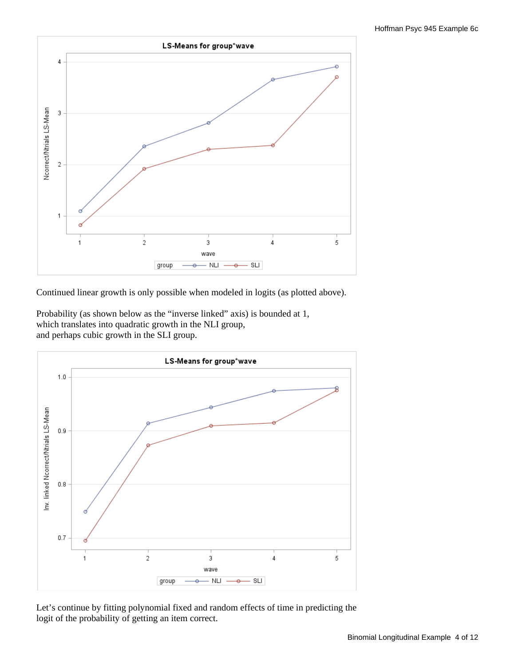

Continued linear growth is only possible when modeled in logits (as plotted above).

Probability (as shown below as the "inverse linked" axis) is bounded at 1, which translates into quadratic growth in the NLI group, and perhaps cubic growth in the SLI group.



Let's continue by fitting polynomial fixed and random effects of time in predicting the logit of the probability of getting an item correct.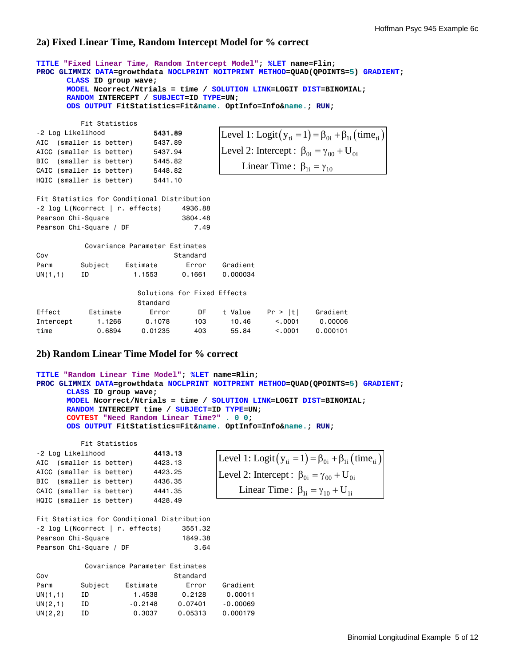### **2a) Fixed Linear Time, Random Intercept Model for % correct**

```
TITLE "Fixed Linear Time, Random Intercept Model"; %LET name=Flin; 
PROC GLIMMIX DATA=growthdata NOCLPRINT NOITPRINT METHOD=QUAD(QPOINTS=5) GRADIENT; 
      CLASS ID group wave; 
      MODEL Ncorrect/Ntrials = time / SOLUTION LINK=LOGIT DIST=BINOMIAL; 
      RANDOM INTERCEPT / SUBJECT=ID TYPE=UN; 
      ODS OUTPUT FitStatistics=Fit&name. OptInfo=Info&name.; RUN;
```

| . It olutiolisu |  |  |                                                                                                                                                             |  |  |
|-----------------|--|--|-------------------------------------------------------------------------------------------------------------------------------------------------------------|--|--|
|                 |  |  | 5431.89                                                                                                                                                     |  |  |
|                 |  |  | 5437.89                                                                                                                                                     |  |  |
|                 |  |  | 5437.94                                                                                                                                                     |  |  |
|                 |  |  | 5445.82                                                                                                                                                     |  |  |
|                 |  |  | 5448.82                                                                                                                                                     |  |  |
|                 |  |  | 5441.10                                                                                                                                                     |  |  |
|                 |  |  | -2 Log Likelihood<br>AIC (smaller is better)<br>AICC (smaller is better)<br>BIC (smaller is better)<br>CAIC (smaller is better)<br>HQIC (smaller is better) |  |  |

Fit Statistics

| Level 1: Logit $(y_{ti} = 1) = \beta_{0i} + \beta_{1i}$ (time <sub>ti</sub> ) |
|-------------------------------------------------------------------------------|
| Level 2: Intercept : $\beta_{0i} = \gamma_{00} + U_{0i}$                      |
| Linear Time: $\beta_{1i} = \gamma_{10}$                                       |

Fit Statistics for Conditional Distribution -2 log L(Ncorrect | r. effects) 4936.88 Pearson Chi-Square 3804.48 Pearson Chi-Square / DF 7.49

|         |         | Covariance Parameter Estimates |          |          |
|---------|---------|--------------------------------|----------|----------|
| Cov     |         |                                | Standard |          |
| Parm    | Subject | Estimate                       | Error    | Gradient |
| UN(1,1) | ID.     | 1.1553                         | 0.1661   | 0.000034 |

|           |          | Solutions for Fixed Effects<br>Standard |     |         |         |          |
|-----------|----------|-----------------------------------------|-----|---------|---------|----------|
| Effect    | Estimate | Error                                   | DF  | t Value | Pr >  t | Gradient |
| Intercept | 1.1266   | 0.1078                                  | 103 | 10.46   | < 0.001 | 0.00006  |
| time      | 0.6894   | 0.01235                                 | 403 | 55.84   | < 0.001 | 0.000101 |

# **2b) Random Linear Time Model for % correct**

```
TITLE "Random Linear Time Model"; %LET name=Rlin; 
PROC GLIMMIX DATA=growthdata NOCLPRINT NOITPRINT METHOD=QUAD(QPOINTS=5) GRADIENT; 
      CLASS ID group wave; 
      MODEL Ncorrect/Ntrials = time / SOLUTION LINK=LOGIT DIST=BINOMIAL; 
      RANDOM INTERCEPT time / SUBJECT=ID TYPE=UN; 
      COVTEST "Need Random Linear Time?" . 0 0; 
      ODS OUTPUT FitStatistics=Fit&name. OptInfo=Info&name.; RUN;
```
 Fit Statistics -2 Log Likelihood 4413.13 AIC (smaller is better) 4423.13 AICC (smaller is better) 4423.25 BIC (smaller is better) 4436.35 CAIC (smaller is better) 4441.35 HQIC (smaller is better) 4428.49

Level 1: Logit  $(y_{ti} = 1) = \beta_{0i} + \beta_{1i}$  (time<sub>ti</sub>) Level 2: Intercept :  $\beta_{0i} = \gamma_{00} + U_{0i}$ Linear Time :  $\beta_{1i} = \gamma_{10} + U_{1i}$ 

Fit Statistics for Conditional Distribution -2 log L(Ncorrect | r. effects) 3551.32 Pearson Chi-Square 1849.38 Pearson Chi-Square / DF 3.64

|          |         | Covariance Parameter Estimates |          |            |
|----------|---------|--------------------------------|----------|------------|
| Cov      |         |                                | Standard |            |
| Parm     | Subject | Estimate                       | Error    | Gradient   |
| UN(1,1)  | ΙD      | 1.4538                         | 0.2128   | 0.00011    |
| UN(2,1)  | ΙD      | $-0.2148$                      | 0.07401  | $-0.00069$ |
| UN(2, 2) | ΙD      | 0.3037                         | 0.05313  | 0.000179   |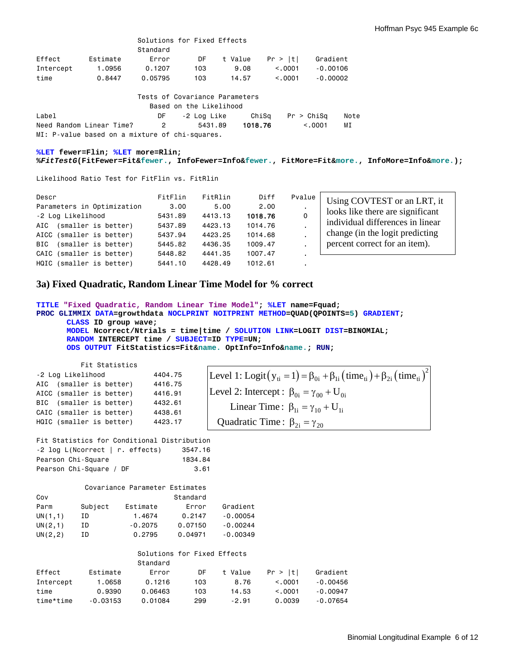|                   |                                                | Solutions for Fixed Effects    |             |         |            |               |                                                                                                |
|-------------------|------------------------------------------------|--------------------------------|-------------|---------|------------|---------------|------------------------------------------------------------------------------------------------|
|                   |                                                | Standard                       |             |         |            |               |                                                                                                |
| Effect            | Estimate                                       | Error                          | DF.         | t Value | Pr >  t    | Gradient      |                                                                                                |
| Intercept         | 1.0956                                         | 0.1207                         | 103         | 9.08    | < 0.0001   | $-0.00106$    |                                                                                                |
| time              | 0.8447                                         | 0.05795                        | 103         | 14.57   | < 0.001    | $-0.00002$    |                                                                                                |
|                   |                                                | Tests of Covariance Parameters |             |         |            |               |                                                                                                |
|                   |                                                | Based on the Likelihood        |             |         |            |               |                                                                                                |
| Label             |                                                | DF                             | -2 Log Like | ChiSq   | Pr > Chisq | Note          |                                                                                                |
|                   | Need Random Linear Time?                       | 2                              | 5431.89     | 1018.76 |            | < 0.001<br>ΜI |                                                                                                |
|                   | MI: P-value based on a mixture of chi-squares. |                                |             |         |            |               |                                                                                                |
|                   | Likelihood Ratio Test for FitFlin vs. FitRlin  |                                |             |         |            |               | %FitTestG(FitFewer=Fit&fewer., InfoFewer=Info&fewer., FitMore=Fit&more., InfoMore=Info&more.); |
| Descr             |                                                | FitFlin                        | FitRlin     | Diff    | Pvalue     |               |                                                                                                |
|                   | Parameters in Optimization                     | 3,00                           | 5,00        | 2,00    |            |               | Using COVTEST or an LRT, it                                                                    |
| -2 Log Likelihood |                                                | 5431.89                        | 4413.13     | 1018.76 | 0          |               | looks like there are significant                                                               |
| AIC               | (smaller is better)                            | 5437.89                        | 4423.13     | 1014.76 |            |               | individual differences in linear                                                               |
| AICC              | (smaller is better)                            | 5437.94                        | 4423.25     | 1014.68 |            |               | change (in the logit predicting                                                                |
| BIC               | (smaller is better)                            | 5445.82                        | 4436.35     | 1009.47 |            |               | percent correct for an item).                                                                  |
| CAIC              | (smaller is better)                            | 5448.82                        | 4441.35     | 1007.47 |            |               |                                                                                                |
|                   | HQIC (smaller is better)                       | 5441.10                        | 4428.49     | 1012.61 |            |               |                                                                                                |

### **3a) Fixed Quadratic, Random Linear Time Model for % correct**

```
TITLE "Fixed Quadratic, Random Linear Time Model"; %LET name=Fquad; 
PROC GLIMMIX DATA=growthdata NOCLPRINT NOITPRINT METHOD=QUAD(QPOINTS=5) GRADIENT; 
      CLASS ID group wave; 
      MODEL Ncorrect/Ntrials = time|time / SOLUTION LINK=LOGIT DIST=BINOMIAL; 
      RANDOM INTERCEPT time / SUBJECT=ID TYPE=UN; 
      ODS OUTPUT FitStatistics=Fit&name. OptInfo=Info&name.; RUN;
```

```
 Fit Statistics 
-2 Log Likelihood 4404.75 
AIC (smaller is better) 4416.75<br>AICC (smaller is better) 4416.91
AICC (smaller is better)
BIC (smaller is better) 4432.61 
CAIC (smaller is better) 4438.61 
HQIC (smaller is better) 4423.17
```

| Level 1: Logit $(y_{ti} = 1) = \beta_{0i} + \beta_{1i} (time_{ti}) + \beta_{2i} (time_{ti})^2$ |
|------------------------------------------------------------------------------------------------|
| Level 2: Intercept : $\beta_{0i} = \gamma_{00} + U_{0i}$                                       |
| Linear Time: $\beta_{1i} = \gamma_{10} + U_{1i}$                                               |
| Quadratic Time : $\beta_{2i} = \gamma_{20}$                                                    |

Fit Statistics for Conditional Distribution -2 log L(Ncorrect | r. effects) 3547.16 Pearson Chi-Square 1834.84 Pearson Chi-Square / DF 3.61

|          |         | Covariance Parameter Estimates |          |            |
|----------|---------|--------------------------------|----------|------------|
| Cov      |         |                                | Standard |            |
| Parm     | Subject | Estimate                       | Error    | Gradient   |
| UN(1,1)  | ΙD      | 1.4674                         | 0.2147   | $-0.00054$ |
| UN(2,1)  | ΙD      | $-0.2075$                      | 0.07150  | $-0.00244$ |
| UN(2, 2) | ΙD      | 0.2795                         | 0.04971  | $-0.00349$ |

#### Solutions for Fixed Effects Standard

| Effect    | Estimate   | Error   | DF  | t Value | Pr >  t | Gradient   |
|-----------|------------|---------|-----|---------|---------|------------|
| Intercept | 1.0658     | 0.1216  | 103 | 8.76    | < 0.001 | -0.00456   |
| time      | 0.9390     | 0.06463 | 103 | 14.53   | < 0.001 | $-0.00947$ |
| time*time | $-0.03153$ | 0.01084 | 299 | $-2.91$ | 0.0039  | -0.07654   |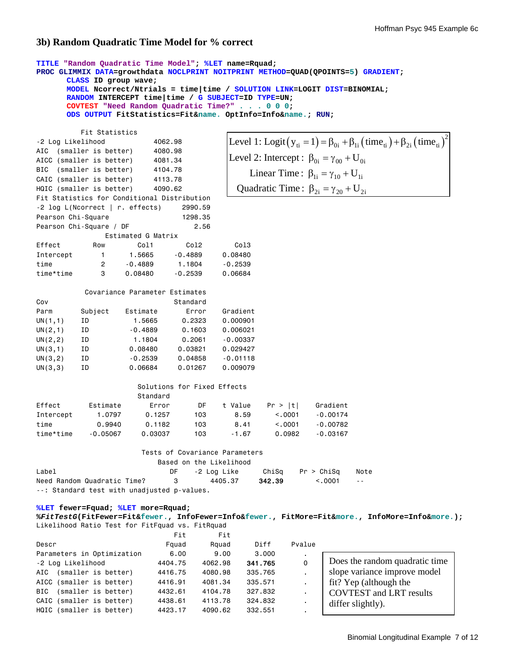### **3b) Random Quadratic Time Model for % correct**

```
TITLE "Random Quadratic Time Model"; %LET name=Rquad;
PROC GLIMMIX DATA=growthdata NOCLPRINT NOITPRINT METHOD=QUAD(QPOINTS=5) GRADIENT; 
      CLASS ID group wave; 
      MODEL Ncorrect/Ntrials = time|time / SOLUTION LINK=LOGIT DIST=BINOMIAL; 
      RANDOM INTERCEPT time|time / G SUBJECT=ID TYPE=UN; 
      COVTEST "Need Random Quadratic Time?" . . . 0 0 0; 
      ODS OUTPUT FitStatistics=Fit&name. OptInfo=Info&name.; RUN; 
          Fit Statistics 
-2 Log Likelihood 4062.98
AIC (smaller is better) 4080.98
AICC (smaller is better) 4081.34
BIC (smaller is better) 4104.78
CAIC (smaller is better) 4113.78
HQIC (smaller is better) 4090.62
Fit Statistics for Conditional Distribution 
-2 log L(Ncorrect | r. effects) 2990.59 
Pearson Chi-Square 1298.35
Pearson Chi-Square / DF 2.56
               Estimated G Matrix 
Effect Row Col1 Col2 Col3 
Intercept 1 1.5665 -0.4889 0.08480
time 2 -0.4889 1.1804 -0.2539 
time*time 3 0.08480 -0.2539 0.06684 
           Covariance Parameter Estimates 
Cov Standard
Parm Subject Estimate Error Gradient 
UN(1,1) ID 1.5665 0.2323 0.000901 
UN(2,1) ID -0.4889 0.1603 0.006021
UN(2,2) ID 1.1804 0.2061 -0.00337
UN(3,1) ID 0.08480 0.03821 0.029427 
UN(3,2) ID -0.2539 0.04858 -0.01118
UN(3,3) ID 0.06684 0.01267 0.009079 
                      Solutions for Fixed Effects 
                      Standard 
Effect Estimate Error DF t Value Pr > |t| Gradient 
Intercept 1.0797 0.1257 103 8.59 <.0001 -0.00174 
time 0.9940 0.1182 103 8.41 <.0001 -0.00782 
time*time -0.05067 0.03037 103 -1.67 0.0982 -0.03167 
                      Tests of Covariance Parameters 
                          Based on the Likelihood 
Label DF -2 Log Like ChiSq Pr > ChiSq Note 
Need Random Quadratic Time? 3 4405.37 342.39 <.0001 --
--: Standard test with unadjusted p-values. 
%LET fewer=Fquad; %LET more=Rquad; 
%FitTestG(FitFewer=Fit&fewer., InfoFewer=Info&fewer., FitMore=Fit&more., InfoMore=Info&more.); 
Likelihood Ratio Test for FitFquad vs. FitRquad 
 Fit Fit 
Descr Fquad Rquad Diff Pvalue 
Parameters in Optimization 6.00 9.00 3.000
-2 Log Likelihood 4404.75 4062.98 341.765 0 
AIC (smaller is better) 4416.75 4080.98 335.765 . 
AICC (smaller is better) 4416.91 4081.34 335.571
BIC (smaller is better) 4432.61 4104.78 327.832
CAIC (smaller is better) 4438.61 4113.78 324.832
HQIC (smaller is better) 4423.17 4090.62 332.551
                                                    (y_{\rm ti} = 1) = \beta_{\rm 0i} + \beta_{\rm 1i} (\text{time}_{\rm ti}) + \beta_{\rm 2i} (\text{time}_{\rm ti})^2Level 1: Logit (y_{ti} = 1) = \beta_{0i} + \beta_{1i} (time_{ti}) + \beta_{2i} (time_{ti})Level 2: Intercept : \beta_{0i} = \gamma_{00} + U_{0i}Linear Time : \beta_{1i} = \gamma_{10} + U_{1i}Quadratic Time : \beta_{2i} = \gamma_{20} + U_{2i}Does the random quadratic time 
                                                            slope variance improve model 
                                                            fit? Yep (although the 
                                                            COVTEST and LRT results 
                                                            differ slightly).
```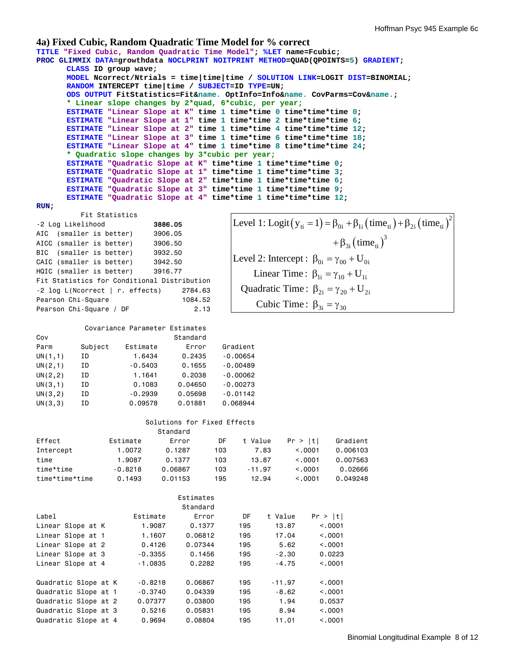### **4a) Fixed Cubic, Random Quadratic Time Model for % correct**

**TITLE "Fixed Cubic, Random Quadratic Time Model"; %LET name=Fcubic;** 

```
PROC GLIMMIX DATA=growthdata NOCLPRINT NOITPRINT METHOD=QUAD(QPOINTS=5) GRADIENT; 
      CLASS ID group wave; 
      MODEL Ncorrect/Ntrials = time|time|time / SOLUTION LINK=LOGIT DIST=BINOMIAL;
```

```
RANDOM INTERCEPT time|time / SUBJECT=ID TYPE=UN; 
ODS OUTPUT FitStatistics=Fit&name. OptInfo=Info&name. CovParms=Cov&name.; 
* Linear slope changes by 2*quad, 6*cubic, per year;
ESTIMATE "Linear Slope at K" time 1 time*time 0 time*time*time 0; 
ESTIMATE "Linear Slope at 1" time 1 time*time 2 time*time*time 6; 
ESTIMATE "Linear Slope at 2" time 1 time*time 4 time*time*time 12; 
ESTIMATE "Linear Slope at 3" time 1 time*time 6 time*time*time 18; 
ESTIMATE "Linear Slope at 4" time 1 time*time 8 time*time*time 24; 
* Quadratic slope changes by 3*cubic per year;
ESTIMATE "Quadratic Slope at K" time*time 1 time*time*time 0; 
ESTIMATE "Quadratic Slope at 1" time*time 1 time*time*time 3; 
ESTIMATE "Quadratic Slope at 2" time*time 1 time*time*time 6; 
ESTIMATE "Quadratic Slope at 3" time*time 1 time*time*time 9; 
ESTIMATE "Quadratic Slope at 4" time*time 1 time*time*time 12;
```
#### **RUN;**

| -2 Log Likelihood                           | 3886.05 |  |  |  |
|---------------------------------------------|---------|--|--|--|
| AIC (smaller is better)                     | 3906.05 |  |  |  |
| AICC (smaller is better)                    | 3906.50 |  |  |  |
| BIC (smaller is better)                     | 3932.50 |  |  |  |
| CAIC (smaller is better)                    | 3942.50 |  |  |  |
| HQIC (smaller is better)                    | 3916.77 |  |  |  |
| Fit Statistics for Conditional Distribution |         |  |  |  |
| -2 log L(Ncorrect   r. effects)             | 2784.63 |  |  |  |
| Pearson Chi-Square                          | 1084.52 |  |  |  |
| Pearson Chi-Square / DF                     | 2.13    |  |  |  |

Fit Statistics

| Level 1: Logit $(y_{ti} = 1) = \beta_{0i} + \beta_{1i} (time_{ti}) + \beta_{2i} (time_{ti})^2$ |
|------------------------------------------------------------------------------------------------|
| $+\beta_{3i}(\text{time}_{ii})^3$                                                              |
| Level 2: Intercept : $\beta_{0i} = \gamma_{00} + U_{0i}$                                       |
| Linear Time: $\beta_{1i} = \gamma_{10} + U_{1i}$                                               |
| Quadratic Time: $\beta_{2i} = \gamma_{20} + U_{2i}$                                            |
| Cubic Time: $\beta_{3i} = \gamma_{30}$                                                         |

|          |         | Covariance Parameter Estimates |          |            |
|----------|---------|--------------------------------|----------|------------|
| Cov      |         |                                | Standard |            |
| Parm     | Subject | Estimate                       | Error    | Gradient   |
| UN(1,1)  | ΙD      | 1.6434                         | 0.2435   | $-0.00654$ |
| UN(2,1)  | ΙD      | $-0.5403$                      | 0.1655   | $-0.00489$ |
| UN(2, 2) | ΙD      | 1.1641                         | 0.2038   | $-0.00062$ |
| UN(3,1)  | ΙD      | 0.1083                         | 0.04650  | $-0.00273$ |
| UN(3, 2) | ΙD      | $-0.2939$                      | 0.05698  | $-0.01142$ |
| UN(3,3)  | ΙD      | 0.09578                        | 0.01881  | 0.068944   |

# Solutions for Fixed Effects

| Estimate  | Error   | DF       | t Value | Pr >  t | Gradient |
|-----------|---------|----------|---------|---------|----------|
| 1.0072    | 0.1287  | 103      | 7.83    | < 0.001 | 0.006103 |
| 1.9087    | 0.1377  | 103      | 13.87   | < 0.001 | 0.007563 |
| $-0.8218$ | 0.06867 | 103      | - 11.97 | < 0.001 | 0.02666  |
| 0.1493    | 0.01153 | 195      | 12.94   | < 0.001 | 0.049248 |
|           |         | Standard |         |         |          |

|                      |           | Estimates<br>Standard |     |          |          |
|----------------------|-----------|-----------------------|-----|----------|----------|
| Label                | Estimate  | Error                 | DF  | t Value  | Pr >  t  |
| Linear Slope at K    | 1,9087    | 0.1377                | 195 | 13,87    | < 0.0001 |
| Linear Slope at 1    | 1.1607    | 0.06812               | 195 | 17.04    | < 0.001  |
| Linear Slope at 2    | 0.4126    | 0.07344               | 195 | 5.62     | < 0.001  |
| Linear Slope at 3    | $-0.3355$ | 0.1456                | 195 | $-2.30$  | 0.0223   |
| Linear Slope at 4    | $-1.0835$ | 0.2282                | 195 | $-4.75$  | < 0.001  |
| Quadratic Slope at K | $-0.8218$ | 0.06867               | 195 | $-11.97$ | < 0.001  |
| Quadratic Slope at 1 | $-0.3740$ | 0.04339               | 195 | $-8.62$  | < 0.001  |
| Quadratic Slope at 2 | 0.07377   | 0.03800               | 195 | 1.94     | 0.0537   |
| Quadratic Slope at 3 | 0.5216    | 0.05831               | 195 | 8.94     | < 0.001  |
| Quadratic Slope at 4 | 0.9694    | 0.08804               | 195 | 11.01    | < .0001  |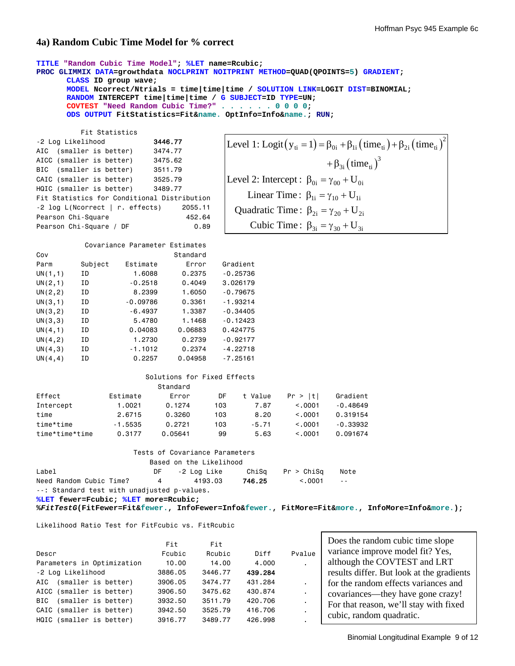### **4a) Random Cubic Time Model for % correct**

```
TITLE "Random Cubic Time Model"; %LET name=Rcubic; 
PROC GLIMMIX DATA=growthdata NOCLPRINT NOITPRINT METHOD=QUAD(QPOINTS=5) GRADIENT; 
      CLASS ID group wave; 
      MODEL Ncorrect/Ntrials = time|time|time / SOLUTION LINK=LOGIT DIST=BINOMIAL; 
      RANDOM INTERCEPT time|time|time / G SUBJECT=ID TYPE=UN; 
      COVTEST "Need Random Cubic Time?" . . . . . . 0 0 0 0; 
      ODS OUTPUT FitStatistics=Fit&name. OptInfo=Info&name.; RUN; 
          Fit Statistics 
-2 Log Likelihood 3446.77
AIC (smaller is better) 3474.77 
AICC (smaller is better) 3475.62 
BIC (smaller is better) 3511.79 
CAIC (smaller is better) 3525.79 
HQIC (smaller is better) 3489.77 
Fit Statistics for Conditional Distribution 
-2 log L(Ncorrect | r. effects) 2055.11 
Pearson Chi-Square 452.64
Pearson Chi-Square / DF 0.89
           Covariance Parameter Estimates 
Cov Standard
Parm Subject Estimate Error Gradient 
UN(1,1) ID 1.6088 0.2375 -0.25736
UN(2,1) ID -0.2518 0.4049 3.026179
UN(2,2) ID 8.2399 1.6050 -0.79675 
UN(3,1) ID -0.09786 0.3361 -1.93214
UN(3,2) ID -6.4937 1.3387 -0.34405
UN(3,3) ID 5.4780 1.1468 -0.12423
UN(4,1) ID 0.04083 0.06883 0.424775
UN(4,2) ID 1.2730 0.2739 -0.92177
UN(4,3) ID -1.1012 0.2374 -4.22718
UN(4,4) ID 0.2257 0.04958 -7.25161 
                        Solutions for Fixed Effects 
                          Standard 
Effect Estimate Error DF t Value Pr > |t| Gradient 
Intercept 1.0021 0.1274 103 7.87 <.0001 -0.48649 
time 2.6715 0.3260 103 8.20 <.0001 0.319154 
time*time -1.5535 0.2721 103 -5.71 <.0001 -0.33932 
time*time*time 0.3177 0.05641 99 5.63 <.0001 0.091674 
                     Tests of Covariance Parameters 
                         Based on the Likelihood 
Label DF -2 Log Like ChiSq Pr > ChiSq Note 
Need Random Cubic Time? 4 4193.03 746.25 <.0001 --
--: Standard test with unadjusted p-values. 
%LET fewer=Fcubic; %LET more=Rcubic; 
%FitTestG(FitFewer=Fit&fewer., InfoFewer=Info&fewer., FitMore=Fit&more., InfoMore=Info&more.); 
Likelihood Ratio Test for FitFcubic vs. FitRcubic 
                                                     (y_{\rm ti} = 1) = \beta_{\rm 0i} + \beta_{\rm 1i} (\text{time}_{\rm ti}) + \beta_{\rm 2i} (\text{time}_{\rm ti})^2(iime_{ti})^3Level 1: Logit (y_{ti} = 1) = \beta_{0i} + \beta_{1i} (time_{ti}) + \beta_{2i} (time_{ti})+\beta_{3i} (time<sub>ti</sub>
                                        Level 2: Intercept : \beta_{0i} = \gamma_{00} + U_{0i}Linear Time : \beta_{1i} = \gamma_{10} + U_{1i}Quadratic Time : \beta_{2i} = \gamma_{20} + U_{2i}Cubic Time : \beta_{3i} = \gamma_{30} + U_{3i}
```

|                            | Fit     | Fit     |         |                |
|----------------------------|---------|---------|---------|----------------|
| Descr                      | Fcubic  | Rcubic  | Diff    | Pvalue         |
| Parameters in Optimization | 10.00   | 14.00   | 4,000   |                |
| -2 Log Likelihood          | 3886.05 | 3446.77 | 439.284 |                |
| AIC (smaller is better)    | 3906.05 | 3474.77 | 431.284 | ٠.             |
| AICC (smaller is better)   | 3906.50 | 3475.62 | 430.874 | ٠              |
| BIC (smaller is better)    | 3932.50 | 3511.79 | 420,706 | ٠.             |
| CAIC (smaller is better)   | 3942.50 | 3525.79 | 416,706 | $\blacksquare$ |
| HQIC (smaller is better)   | 3916.77 | 3489.77 | 426,998 |                |

Does the random cubic time slope variance improve model fit? Yes, although the COVTEST and LRT results differ. But look at the gradients for the random effects variances and covariances—they have gone crazy! For that reason, we'll stay with fixed cubic, random quadratic.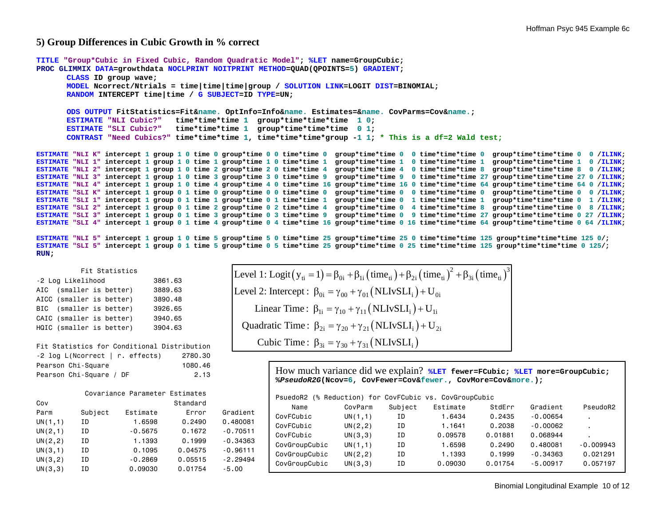### **5) Group Differences in Cubic Growth in % correct**

```
TITLE "Group*Cubic in Fixed Cubic, Random Quadratic Model"; %LET name=GroupCubic; 
PROC GLIMMIX DATA=growthdata NOCLPRINT NOITPRINT METHOD=QUAD(QPOINTS=5) GRADIENT; 
       CLASS ID group wave; 
       MODEL Ncorrect/Ntrials = time|time|time|group / SOLUTION LINK=LOGIT DIST=BINOMIAL; 
       RANDOM INTERCEPT time|time / G SUBJECT=ID TYPE=UN; 
       ODS OUTPUT FitStatistics=Fit&name. OptInfo=Info&name. Estimates=&name. CovParms=Cov&name.; 
       ESTIMATEtime*time*time 1 group*time*time*time 1 0;
       ESTIMATEtime*time*time 1 group*time*time*time 0 1;
       CONTRAST "Need Cubics?" time*time*time 1, time*time*time*group -1 1; * This is a df=2 Wald test;
ESTIMATE "NLI K" intercept 1 group 1 0 time 0 group*time 0 0 time*time 0 group*time*time 0 0 time*time*time 0 group*time*time*time 0 0 /ILINK; 
ESTIMATE "NLI 1" intercept 1 group 1 0 time 1 group*time 1 0 time*time 1 group*time*time 1 0 time*time*time 1 group*time*time*time 1 0 /ILINK; 
ESTIMATE "NLI 2" intercept 1 group 1 0 time 2 group*time 2 0 time*time 4 group*time*time 4 0 time*time*time 8 group*time*time*time 8 0 /ILINK; 
ESTIMATE "NLI 3" intercept 1 group 1 0 time 3 group*time 3 0 time*time 9 group*time*time 9 0 time*time*time 27 group*time*time*time 27 0 /ILINK; 
ESTIMATE "NLI 4" intercept 1 group 1 0 time 4 group*time 4 0 time*time 16 group*time*time 16 0 time*time*time 64 group*time*time*time 64 0 /ILINK; 
ESTIMATE "SLI K" intercept 1 group 0 1 time 0 group*time 0 0 time*time 0 group*time*time 0 0 time*time*time 0 group*time*time*time 0 0 /ILINK; 
ESTIMATE "SLI 1" intercept 1 group 0 1 time 1 group*time 0 1 time*time 1 group*time*time 0 1 time*time*time 1 group*time*time*time 0 1 /ILINK; 
ESTIMATE "SLI 2" intercept 1 group 0 1 time 2 group*time 0 2 time*time 4 group*time*time 0 4 time*time*time 8 group*time*time*time 0 8 /ILINK; 
ESTIMATE "SLI 3" intercept 1 group 0 1 time 3 group*time 0 3 time*time 9 group*time*time 0 9 time*time*time 27 group*time*time*time 0 27 /ILINK; 
ESTIMATE "SLI 4" intercept 1 group 0 1 time 4 group*time 0 4 time*time 16 group*time*time 0 16 time*time*time 64 group*time*time*time 0 64 /ILINK; 
ESTIMATE "NLI 5" intercept 1 group 1 0 time 5 group*time 5 0 time*time 25 group*time*time 25 0 time*time*time 125 group*time*time*time 125 0/; 
ESTIMATE "SLI 5" intercept 1 group 0 1 time 5 group*time 0 5 time*time 25 group*time*time 0 25 time*time*time 125 group*time*time*time 0 125/; 
RUN;
```
 Fit Statistics -2 Log Likelihood 3861.63 AIC (smaller is better) 3889.63 AICC (smaller is better) 3890.48 BIC (smaller is better) 3926.65 CAIC (smaller is better) 3940.65 HQIC (smaller is better) 3904.63

Fit Statistics for Conditional Distribution -2 log L(Ncorrect | r. effects) 2780.30 Pearson Chi-Square 1080.46 Pearson Chi-Square / DF 2.13

|          |         | Covariance Parameter Estimates |          |            |
|----------|---------|--------------------------------|----------|------------|
| Cov      |         |                                | Standard |            |
| Parm     | Subject | Estimate                       | Error    | Gradient   |
| UN(1,1)  | ΙD      | 1.6598                         | 0.2490   | 0.480081   |
| UN(2,1)  | ΙD      | $-0.5675$                      | 0.1672   | $-0.70511$ |
| UN(2, 2) | ΙD      | 1.1393                         | 0.1999   | $-0.34363$ |
| UN(3,1)  | ΙD      | 0.1095                         | 0.04575  | $-0.96111$ |
| UN(3, 2) | ΙD      | $-0.2869$                      | 0.05515  | $-2,29494$ |
| UN(3,3)  | ΙD      | 0.09030                        | 0.01754  | $-5.00$    |

Level 1: Logit  $(y_{ti} = 1) = \beta_{0i} + \beta_{1i} (\text{time}_{ti}) + \beta_{2i} (\text{time}_{ti})^2 + \beta_{3i} (\text{time}_{ti})^3$ Level 2: Intercept :  $\beta_{0i} = \gamma_{00} + \gamma_{01} (NLIVSLI_i) + U_{0i}$ Linear Time :  $\beta_{1i} = \gamma_{10} + \gamma_{11} (NLIVSLI_i) + U_{1i}$ Quadratic Time :  $\beta_{2i} = \gamma_{20} + \gamma_{21} (NLIVSLI_i) + U_{2i}$ Cubic Time :  $\beta_{3i} = \gamma_{30} + \gamma_{31} (NLIVSLI_i)$ 

| %PseudoR2G(Ncov=6, CovFewer=Cov&fewer., CovMore=Cov&more.); |          |         |          |         |            |             |  |
|-------------------------------------------------------------|----------|---------|----------|---------|------------|-------------|--|
| (% Reduction) for CovFCubic vs. CovGroupCubic<br>PsuedoR2   |          |         |          |         |            |             |  |
| Name                                                        | CovParm  | Subject | Estimate | StdErr  | Gradient   | PseudoR2    |  |
| CovFCubic                                                   | UN(1,1)  | ΙD      | 1.6434   | 0.2435  | $-0.00654$ | ٠.          |  |
| CovFCubic                                                   | UN(2, 2) | ΙD      | 1.1641   | 0.2038  | $-0.00062$ | ٠.          |  |
| CovFCubic                                                   | UN(3,3)  | ΙD      | 0.09578  | 0.01881 | 0.068944   | ٠.          |  |
| CovGroupCubic                                               | UN(1,1)  | ΙD      | 1.6598   | 0.2490  | 0.480081   | $-0.009943$ |  |
| CovGroupCubic                                               | UN(2, 2) | ΙD      | 1.1393   | 0.1999  | $-0.34363$ | 0.021291    |  |
| CovGroupCubic                                               | UN(3,3)  | ΙD      | 0.09030  | 0.01754 | $-5.00917$ | 0.057197    |  |

How much variance did we explain? **%LET fewer=FCubic; %LET more=GroupCubic;**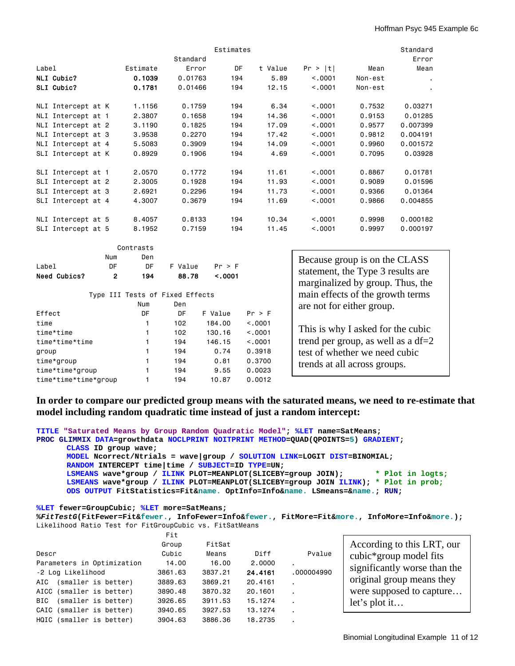|       |                    |     |           |          | Estimates |         |          |                               | Standard       |
|-------|--------------------|-----|-----------|----------|-----------|---------|----------|-------------------------------|----------------|
|       |                    |     |           | Standard |           |         |          |                               | Error          |
| Label |                    |     | Estimate  | Error    | DF        | t Value | Pr >  t  | Mean                          | Mean           |
|       | NLI Cubic?         |     | 0.1039    | 0.01763  | 194       | 5.89    | < 0.0001 | Non-est                       |                |
|       | SLI Cubic?         |     | 0.1781    | 0.01466  | 194       | 12.15   | < 0.0001 | Non-est                       | $\blacksquare$ |
|       | NLI Intercept at K |     | 1.1156    | 0.1759   | 194       | 6.34    | < .0001  | 0.7532                        | 0.03271        |
|       | NLI Intercept at 1 |     | 2.3807    | 0.1658   | 194       | 14.36   | < .0001  | 0.9153                        | 0.01285        |
|       | NLI Intercept at 2 |     | 3.1190    | 0.1825   | 194       | 17.09   | < .0001  | 0.9577                        | 0.007399       |
|       | NLI Intercept at 3 |     | 3.9538    | 0.2270   | 194       | 17.42   | < .0001  | 0.9812                        | 0.004191       |
|       | NLI Intercept at 4 |     | 5.5083    | 0.3909   | 194       | 14.09   | < .0001  | 0.9960                        | 0.001572       |
|       | SLI Intercept at K |     | 0.8929    | 0.1906   | 194       | 4.69    | < 0.001  | 0.7095                        | 0.03928        |
|       | SLI Intercept at 1 |     | 2.0570    | 0.1772   | 194       | 11.61   | < .0001  | 0.8867                        | 0.01781        |
|       | SLI Intercept at 2 |     | 2.3005    | 0.1928   | 194       | 11.93   | < .0001  | 0.9089                        | 0.01596        |
|       | SLI Intercept at 3 |     | 2.6921    | 0.2296   | 194       | 11.73   | < .0001  | 0.9366                        | 0.01364        |
|       | SLI Intercept at 4 |     | 4.3007    | 0.3679   | 194       | 11.69   | < .0001  | 0.9866                        | 0.004855       |
|       | NLI Intercept at 5 |     | 8.4057    | 0.8133   | 194       | 10.34   | < .0001  | 0.9998                        | 0.000182       |
|       | SLI Intercept at 5 |     | 8.1952    | 0.7159   | 194       | 11.45   | < .0001  | 0.9997                        | 0.000197       |
|       |                    |     | Contrasts |          |           |         |          |                               |                |
|       |                    | Num | Den       |          |           |         |          | Because group is on the CLASS |                |

|                     | ,,,,,, | .   |         |         |
|---------------------|--------|-----|---------|---------|
| Label               | DΕ     | DΕ  | F Value | Pr > F  |
| <b>Need Cubics?</b> |        | 194 | 88.78   | < .0001 |

|  |     | Type III Tests of Fixed Effects |  |
|--|-----|---------------------------------|--|
|  | Num | Den                             |  |

| Effect               | DF | DF  | F Value | Pr > F   |  |
|----------------------|----|-----|---------|----------|--|
| time                 | 1  | 102 | 184,00  | < 0.0001 |  |
| time*time            | 1  | 102 | 130.16  | < 0.0001 |  |
| time*time*time       |    | 194 | 146.15  | < 0.0001 |  |
| group                |    | 194 | 0.74    | 0.3918   |  |
| time*group           |    | 194 | 0.81    | 0.3700   |  |
| time*time*group      |    | 194 | 9.55    | 0.0023   |  |
| time*time*time*group |    | 194 | 10.87   | 0.0012   |  |

Because group is on the CLASS statement, the Type 3 results are marginalized by group. Thus, the main effects of the growth terms are not for either group.

This is why I asked for the cubic trend per group, as well as a  $df=2$ test of whether we need cubic trends at all across groups.

```
In order to compare our predicted group means with the saturated means, we need to re-estimate that 
model including random quadratic time instead of just a random intercept:
```

```
TITLE "Saturated Means by Group Random Quadratic Model"; %LET name=SatMeans; 
PROC GLIMMIX DATA=growthdata NOCLPRINT NOITPRINT METHOD=QUAD(QPOINTS=5) GRADIENT; 
      CLASS ID group wave; 
      MODEL Ncorrect/Ntrials = wave|group / SOLUTION LINK=LOGIT DIST=BINOMIAL; 
      RANDOM INTERCEPT time|time / SUBJECT=ID TYPE=UN; 
      LSMEANS wave*group / ILINK PLOT=MEANPLOT(SLICEBY=group JOIN); * Plot in logts;
      LSMEANS wave*group / ILINK PLOT=MEANPLOT(SLICEBY=group JOIN ILINK); * Plot in prob;
      ODS OUTPUT FitStatistics=Fit&name. OptInfo=Info&name. LSmeans=&name.; RUN;
```

```
%LET fewer=GroupCubic; %LET more=SatMeans;
```
**%***FitTestG***(FitFewer=Fit&fewer., InfoFewer=Info&fewer., FitMore=Fit&more., InfoMore=Info&more.);**  Likelihood Ratio Test for FitGroupCubic vs. FitSatMeans

|                            | Fit     |         |         |                          |
|----------------------------|---------|---------|---------|--------------------------|
|                            | Group   | FitSat  |         |                          |
| Descr                      | Cubic   | Means   | Diff    | Pvalue                   |
| Parameters in Optimization | 14.00   | 16.00   | 2,0000  |                          |
| -2 Log Likelihood          | 3861,63 | 3837.21 | 24.4161 | ,000004990               |
| (smaller is better)<br>AIC | 3889.63 | 3869.21 | 20,4161 |                          |
| AICC (smaller is better)   | 3890.48 | 3870.32 | 20,1601 | $\overline{\phantom{a}}$ |
| (smaller is better)<br>BIC | 3926.65 | 3911.53 | 15.1274 |                          |
| CAIC (smaller is better)   | 3940.65 | 3927.53 | 13,1274 |                          |
| HQIC (smaller is better)   | 3904.63 | 3886.36 | 18.2735 |                          |

| According to this LRT, our   |
|------------------------------|
| cubic*group model fits       |
| significantly worse than the |
| original group means they    |
| were supposed to capture     |
| let's plot it                |